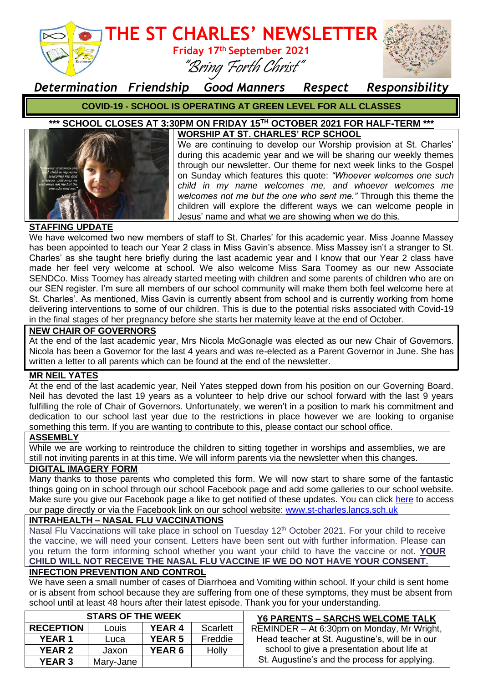

*Determination Friendship Good Manners Respect Responsibility*

**COVID-19 - SCHOOL IS OPERATING AT GREEN LEVEL FOR ALL CLASSES**

#### **\*\*\* SCHOOL CLOSES AT 3:30PM ON FRIDAY 15TH OCTOBER 2021 FOR HALF-TERM \*\*\* WORSHIP AT ST. CHARLES' RCP SCHOOL**



We are continuing to develop our Worship provision at St. Charles' during this academic year and we will be sharing our weekly themes through our newsletter. Our theme for next week links to the Gospel on Sunday which features this quote: *"Whoever welcomes one such child in my name welcomes me, and whoever welcomes me welcomes not me but the one who sent me."* Through this theme the children will explore the different ways we can welcome people in Jesus' name and what we are showing when we do this.

## **STAFFING UPDATE**

We have welcomed two new members of staff to St. Charles' for this academic year. Miss Joanne Massey has been appointed to teach our Year 2 class in Miss Gavin's absence. Miss Massey isn't a stranger to St. Charles' as she taught here briefly during the last academic year and I know that our Year 2 class have made her feel very welcome at school. We also welcome Miss Sara Toomey as our new Associate SENDCo. Miss Toomey has already started meeting with children and some parents of children who are on our SEN register. I'm sure all members of our school community will make them both feel welcome here at St. Charles'. As mentioned, Miss Gavin is currently absent from school and is currently working from home delivering interventions to some of our children. This is due to the potential risks associated with Covid-19 in the final stages of her pregnancy before she starts her maternity leave at the end of October.

### **NEW CHAIR OF GOVERNORS**

At the end of the last academic year, Mrs Nicola McGonagle was elected as our new Chair of Governors. Nicola has been a Governor for the last 4 years and was re-elected as a Parent Governor in June. She has written a letter to all parents which can be found at the end of the newsletter.

## **MR NEIL YATES**

At the end of the last academic year, Neil Yates stepped down from his position on our Governing Board. Neil has devoted the last 19 years as a volunteer to help drive our school forward with the last 9 vears fulfilling the role of Chair of Governors. Unfortunately, we weren't in a position to mark his commitment and dedication to our school last year due to the restrictions in place however we are looking to organise something this term. If you are wanting to contribute to this, please contact our school office.

#### **ASSEMBLY**

While we are working to reintroduce the children to sitting together in worships and assemblies, we are still not inviting parents in at this time. We will inform parents via the newsletter when this changes.

## **DIGITAL IMAGERY FORM**

Many thanks to those parents who completed this form. We will now start to share some of the fantastic things going on in school through our school Facebook page and add some galleries to our school website. Make sure you give our Facebook page a like to get notified of these updates. You can click [here](https://www.facebook.com/StCharlesRcPrimarySchoolRishton/) to access our page directly or via the Facebook link on our school website: [www.st-charles.lancs.sch.uk](http://www.st-charles.lancs.sch.uk/)

## **INTRAHEALTH – NASAL FLU VACCINATIONS**

Nasal Flu Vaccinations will take place in school on Tuesday 12<sup>th</sup> October 2021. For your child to receive the vaccine, we will need your consent. Letters have been sent out with further information. Please can you return the form informing school whether you want your child to have the vaccine or not. **YOUR CHILD WILL NOT RECEIVE THE NASAL FLU VACCINE IF WE DO NOT HAVE YOUR CONSENT.**

## **INFECTION PREVENTION AND CONTROL**

We have seen a small number of cases of Diarrhoea and Vomiting within school. If your child is sent home or is absent from school because they are suffering from one of these symptoms, they must be absent from school until at least 48 hours after their latest episode. Thank you for your understanding.

| <b>STARS OF THE WEEK</b> |           |               |                 | <b>Y6 PARENTS - SARCHS WELCOME TALK</b>         |
|--------------------------|-----------|---------------|-----------------|-------------------------------------------------|
| <b>RECEPTION</b>         | Louis     | <b>YEAR 4</b> | <b>Scarlett</b> | REMINDER - At 6:30pm on Monday, Mr Wright,      |
| <b>YEAR 1</b>            | Luca      | <b>YEAR 5</b> | Freddie         | Head teacher at St. Augustine's, will be in our |
| <b>YEAR 2</b>            | Jaxon     | <b>YEAR 6</b> | <b>Holly</b>    | school to give a presentation about life at     |
| <b>YEAR 3</b>            | Mary-Jane |               |                 | St. Augustine's and the process for applying.   |